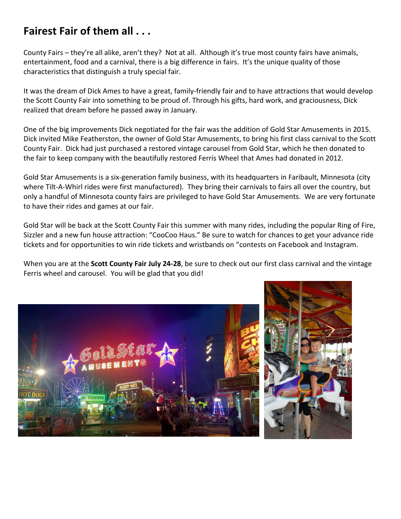## **Fairest Fair of them all . . .**

County Fairs – they're all alike, aren't they? Not at all. Although it's true most county fairs have animals, entertainment, food and a carnival, there is a big difference in fairs. It's the unique quality of those characteristics that distinguish a truly special fair.

It was the dream of Dick Ames to have a great, family-friendly fair and to have attractions that would develop the Scott County Fair into something to be proud of. Through his gifts, hard work, and graciousness, Dick realized that dream before he passed away in January.

One of the big improvements Dick negotiated for the fair was the addition of Gold Star Amusements in 2015. Dick invited Mike Featherston, the owner of Gold Star Amusements, to bring his first class carnival to the Scott County Fair. Dick had just purchased a restored vintage carousel from Gold Star, which he then donated to the fair to keep company with the beautifully restored Ferris Wheel that Ames had donated in 2012.

Gold Star Amusements is a six-generation family business, with its headquarters in Faribault, Minnesota (city where Tilt-A-Whirl rides were first manufactured). They bring their carnivals to fairs all over the country, but only a handful of Minnesota county fairs are privileged to have Gold Star Amusements. We are very fortunate to have their rides and games at our fair.

Gold Star will be back at the Scott County Fair this summer with many rides, including the popular Ring of Fire, Sizzler and a new fun house attraction: "CooCoo Haus." Be sure to watch for chances to get your advance ride tickets and for opportunities to win ride tickets and wristbands on "contests on Facebook and Instagram.

When you are at the **Scott County Fair July 24-28**, be sure to check out our first class carnival and the vintage Ferris wheel and carousel. You will be glad that you did!